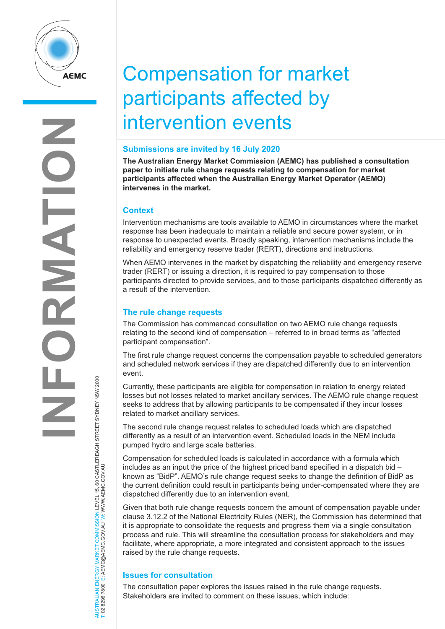

# Compensation for market participants affected by intervention events

# **Submissions are invited by 16 July 2020**

**The Australian Energy Market Commission (AEMC) has published a consultation paper to initiate rule change requests relating to compensation for market participants affected when the Australian Energy Market Operator (AEMO) intervenes in the market.**

### **Context**

Intervention mechanisms are tools available to AEMO in circumstances where the market response has been inadequate to maintain a reliable and secure power system, or in response to unexpected events. Broadly speaking, intervention mechanisms include the reliability and emergency reserve trader (RERT), directions and instructions.

When AEMO intervenes in the market by dispatching the reliability and emergency reserve trader (RERT) or issuing a direction, it is required to pay compensation to those participants directed to provide services, and to those participants dispatched differently as a result of the intervention.

### **The rule change requests**

The Commission has commenced consultation on two AEMO rule change requests relating to the second kind of compensation – referred to in broad terms as "affected participant compensation".

The first rule change request concerns the compensation payable to scheduled generators and scheduled network services if they are dispatched differently due to an intervention event.

Currently, these participants are eligible for compensation in relation to energy related losses but not losses related to market ancillary services. The AEMO rule change request seeks to address that by allowing participants to be compensated if they incur losses related to market ancillary services.

The second rule change request relates to scheduled loads which are dispatched differently as a result of an intervention event. Scheduled loads in the NEM include pumped hydro and large scale batteries.

Compensation for scheduled loads is calculated in accordance with a formula which includes as an input the price of the highest priced band specified in a dispatch bid – known as "BidP". AEMO's rule change request seeks to change the definition of BidP as the current definition could result in participants being under-compensated where they are dispatched differently due to an intervention event.

Given that both rule change requests concern the amount of compensation payable under clause 3.12.2 of the National Electricity Rules (NER), the Commission has determined that it is appropriate to consolidate the requests and progress them via a single consultation process and rule. This will streamline the consultation process for stakeholders and may facilitate, where appropriate, a more integrated and consistent approach to the issues raised by the rule change requests.

# **Issues for consultation**

AUSTRALIAN ENERGY MARKET COMMISSION LEVEL 15, 60 CASTLEREAGH STREET SYDNEY NSW 2000

NERGY MARKET COMMISSION LEVEL 15, 60 CASTLEREAGH STREET SYDNEY NSW 2000<br>E: AEMC@AEMC.GOV.AU W: WWW.AEMC.GOV.AU

T: 02 8296 7800 E: AEMC@AEMC.GOV.AU W: WWW.AEMC.GOV.AU

AUSTRALIAN ENERGY MARKET

The consultation paper explores the issues raised in the rule change requests. Stakeholders are invited to comment on these issues, which include: